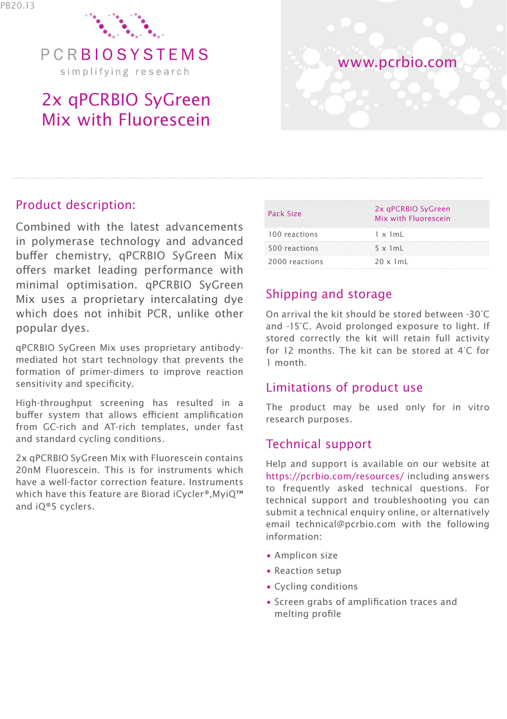

PCRBIOSYSTEMS simplifying research

# 2x qPCRBIO SyGreen Mix with Fluorescein



### Product description:

Combined with the latest advancements in polymerase technology and advanced buffer chemistry, qPCRBIO SyGreen Mix offers market leading performance with minimal optimisation. qPCRBIO SyGreen Mix uses a proprietary intercalating dye which does not inhibit PCR, unlike other popular dyes.

qPCRBIO SyGreen Mix uses proprietary antibodymediated hot start technology that prevents the formation of primer-dimers to improve reaction sensitivity and specificity.

High-throughput screening has resulted in a buffer system that allows efficient amplification from GC-rich and AT-rich templates, under fast and standard cycling conditions.

2x qPCRBIO SyGreen Mix with Fluorescein contains 20nM Fluorescein. This is for instruments which have a well-factor correction feature. Instruments which have this feature are Biorad iCycler®,MyiQ™ and iQ®5 cyclers.

| Pack Size      | 2x qPCRBIO SyGreen<br>Mix with Fluorescein |
|----------------|--------------------------------------------|
| 100 reactions  | $1 \times 1mL$                             |
| 500 reactions  | $5 \times 1mL$                             |
| 2000 reactions | $20 \times 1$ mL                           |

## Shipping and storage

On arrival the kit should be stored between -30°C and -15°C. Avoid prolonged exposure to light. If stored correctly the kit will retain full activity for 12 months. The kit can be stored at 4°C for 1 month.

#### Limitations of product use

The product may be used only for in vitro research purposes.

### Technical support

Help and support is available on our website at https://pcrbio.com/resources/ including answers to frequently asked technical questions. For technical support and troubleshooting you can submit a technical enquiry online, or alternatively email technical@pcrbio.com with the following information:

- Amplicon size
- Reaction setup
- Cycling conditions
- Screen grabs of amplification traces and melting profile